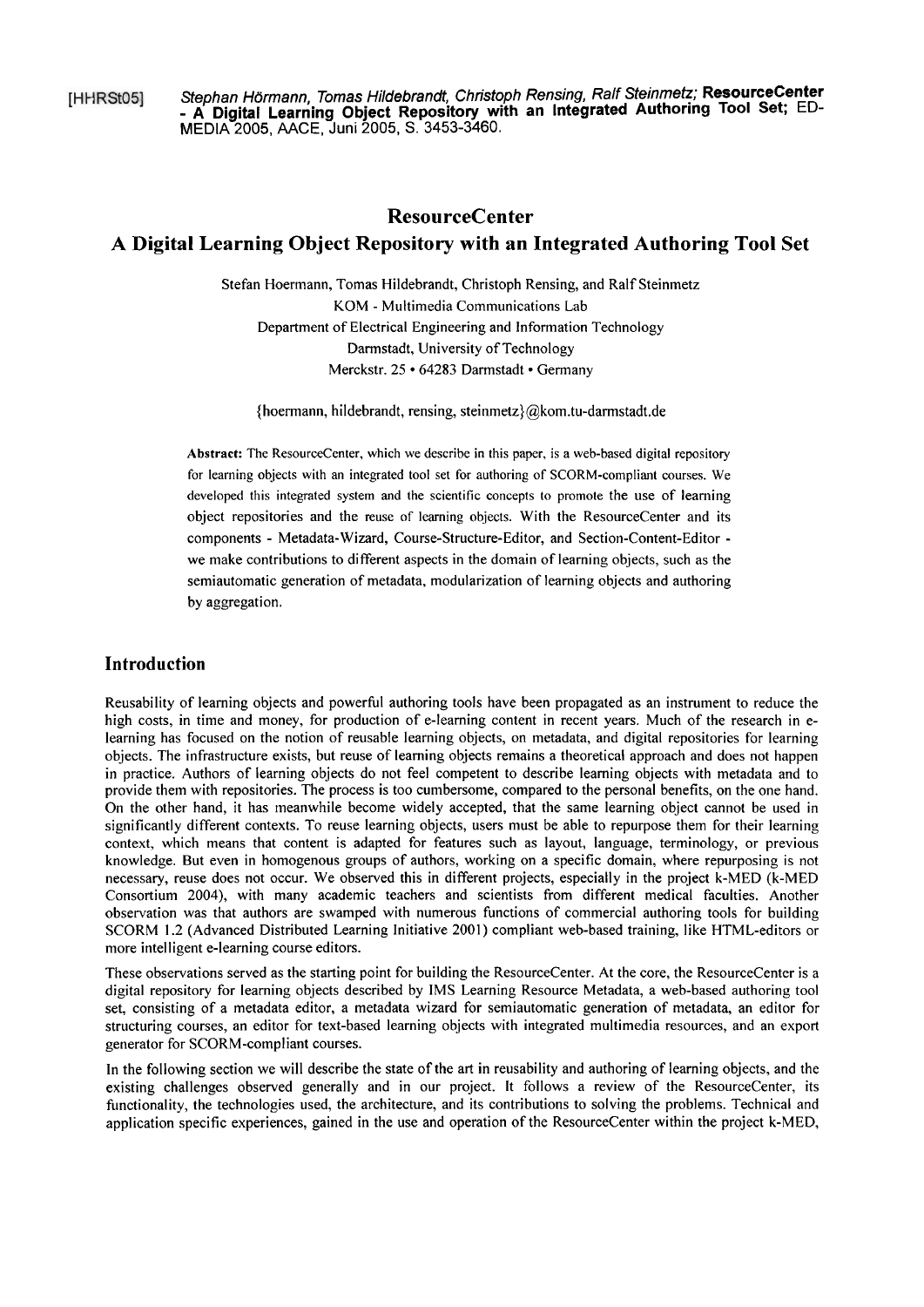[HHRSt05]

Stephan Hörmann, Tomas Hildebrandt, Christoph Rensing, Ralf Steinmetz; **ResourceCenter**  - **A Digital Learning Object Repository with an lntegrated Authoring Tool Set;** ED-MEDIA 2005, AACE, Juni 2005, S. 3453-3460.

# **ResourceCenter**

# **A Digital Learning Object Repository with an Integrated Authoring Tool Set**

Stefan Hoermann, Tomas Hildebrandt, Christoph Rensing, and Ralf Steinmetz KOM - Multimedia Communications Lab Department of Electrical Engineering and Information Technology Darmstadt, University of Technology Merckstr. 25 · 64283 Darmstadt · Germany

{hoermann, hildebrandt, rensing, steinmetz)@kom.tu-darmstadt.de

Abstract: The ResourceCenter, which we describe in this paper, is a web-based digital repository for learning objects with an integrated tool set for authoring of SCORM-compliant courses. We developed this integrated system and the scientific concepts to promote the use of learning object repositories and the reuse of learning objects. With the ResourceCenter and its components - Metadata-Wizard, Course-Structure-Editor, and Section-Content-Editor we make contributions to different aspects in the domain of learning objects, such as the semiautomatic generation of metadata, modularization of learning objects and authoring by aggregation.

## **Introduction**

Reusability of learning objects and powerful authoring tools have been propagated as an instrument to reduce the high costs, in time and money, for production of e-learning content in recent years. Much of the research in elearning has focused on the notion of reusable learning objects, on metadata, and digital repositories for learning objects. The infrastructure exists, but reuse of learning objects remains a theoretical approach and does not happen in practice. Authors of learning objects do not feel competent to describe learning objects with metadata and to provide them with repositories. The process is too cumbersome, compared to the personal benefits, on the one hand. On the other hand, it has meanwhile become widely accepted, that the same learning object cannot be used in significantly different contexts. To reuse learning objects, users must be able to repurpose them for their learning context, which means that content is adapted for features such as layout, language, terminology, or previous knowledge. But even in homogenous groups of authors, working on a specific domain, where repurposing is not necessary, reuse does not occur. We observed this in different projects, especially in the project k-MED (k-MED Consortium 2004), with many academic teachers and scientists from different medical faculties. Another observation was that authors are swamped with numerous functions of commercial authoring tools for building SCORM 1.2 (Advanced Distributed Learning Initiative 2001) compliant web-based training, like HTML-editors or more intelligent e-learning Course editors.

These observations served as the starting point for building the ResourceCenter. At the core, the ResourceCenter is a digital repository for learning objects described by IMS Learning Resource Metadata, a web-based authoring tool set, consisting of a metadata editor, a metadata wizard for semiautomatic generation of metadata, an editor for structuring courses, an editor for text-based learning objects with integrated multimedia resources, and an export generator for SCORM-compliant courses.

In the following section we will describe the state of the art in reusability and authoring of learning objects, and the existing challenges obsewed generally and in our project. It follows a review of the ResourceCenter, its functionality, the technologies used, the architecture, and its contributions to solving the problems. Technical and application specific experiences, gained in the use and operation of the ResourceCenter within the project k-MED,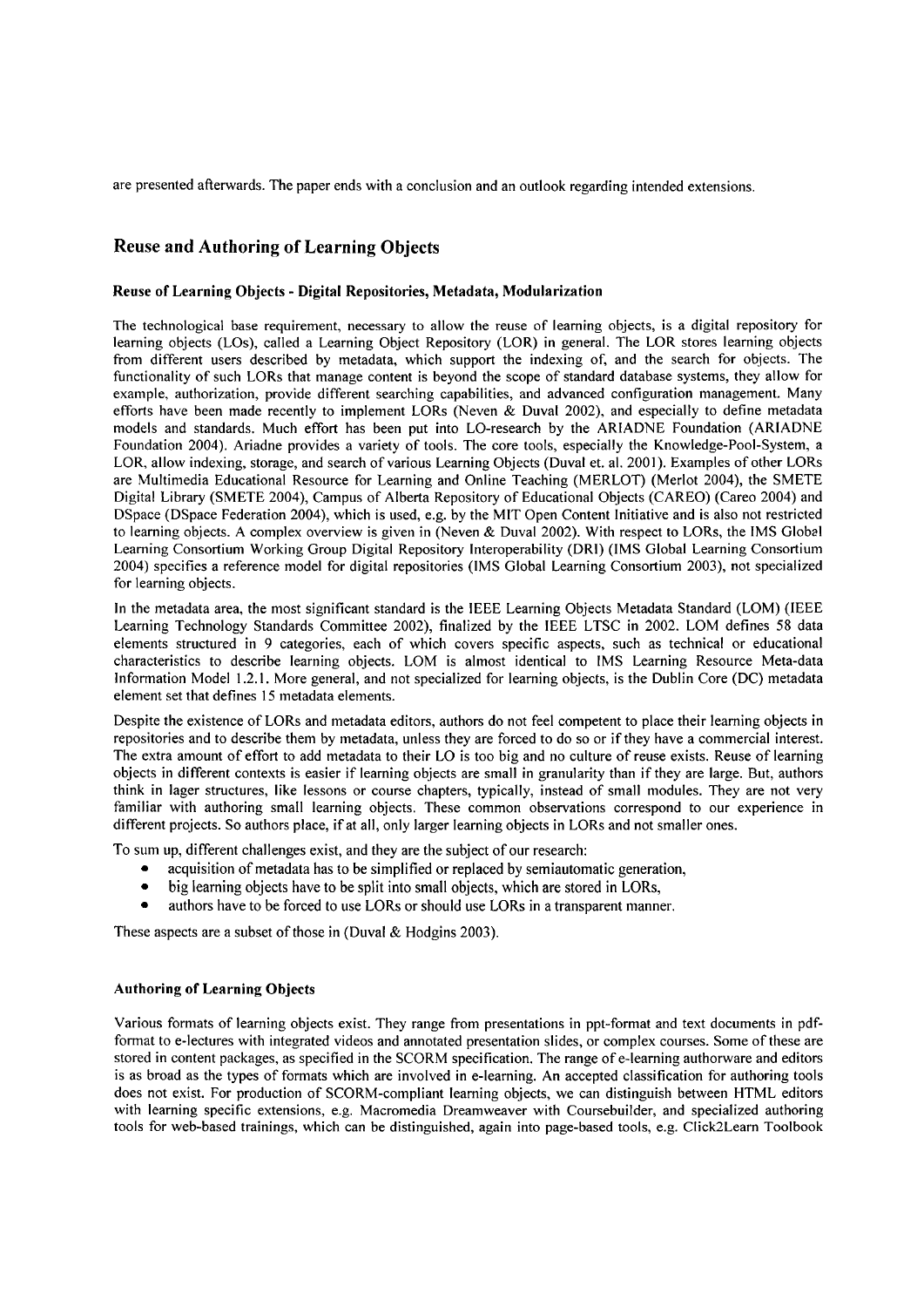are presented afterwards. The paper ends with a conclusion and an outlook regarding intended extensions.

## **Reuse and Authoring of Learning Objects**

#### Reuse of Learning Objects - Digital Repositories, Metadata, Modularization

The technological base requirement, necessary to allow the reuse of learning objects, is a digital repository for learning objects (LOS), called a Learning Object Repository (LOR) in general. The LOR Stores learning objects from different users described by metadata, which support the indexing of, and the search for objects. The functionality of such LORs that manage content is beyond the scope of standard database systems, they allow for example, authorization, provide different searching capabilities, and advanced configuration management. Many efforts have been made recently to implement LORs (Neven & Duval 2002), and especially to define metadata models and standards. Much effort has been put into LO-research by the ARIADNE Foundation (ARIADNE Foundation 2004). Ariadne provides a variety of tools. The core tools, especially the Knowledge-Pool-System, a LOR, allow indexing, Storage, and search of various Learning Objects (Duval et. al. 2001). Examples of other LORs are Multimedia Educational Resource for Learning and Online Teaching (MERLOT) (Merlot 2004), the SMETE Digital Library (SMETE 2004), Campus of Alberta Repository of Educational Objects (CAREO) (Careo 2004) and DSpace (DSpace Federation 2004), which is used, e.g. by the MIT Open Content Initiative and is also not restricted to learning objects. A complex overview is given in (Neven & Duval 2002). With respect to LORs, the IMS Global Learning Consortium Working Group Digital Repository lnteroperability (DRI) (IMS Global Learning Consortium 2004) specifies a reference model for digital repositories (IMS Global Learning Consortium 2003), not specialized for learning objects.

In the metadata area, the most significant standard is the IEEE Learning Objects Metadata Standard (LOM) (IEEE Learning Technology Standards Committee 2002), finalized by the IEEE LTSC in 2002. LOM defines 58 data elements structured in 9 categories, each of which Covers specific aspects, such as technical or educational characteristics to describe learning objects. LOM is almost identical to IMS Learning Resource Meta-data Information Model 1.2.1. More general, and not specialized for learning objects, is the Dublin Core (DC) metadata element set that defines 15 metadata elements.

Despite the existence of LORs and metadata editors, authors do not feel competent to place their learning objects in repositories and to describe them by metadata, unless they are forced to do so or if they have a commercial interest. The extra amount of effort to add metadata to their L0 is too big and no culture of reuse exists. Reuse of learning objects in different contexts is easier if learning objects are small in granularity than if they are large. But, authors think in lager structures, like lessons or Course chapters, typically, instead of small modules. They are not very familiar with authoring small learning objects. These common observations correspond to our experience in different projects. So authors place, if at all, only larger learning objects in LORs and not smaller ones.

To sum up, different challenges exist, and they are the subject of our research:

- acquisition of metadata has to be simplified or replaced by semiautomatic generation,
- big learning objects have to be split into small objects, which are stored in LORs,
- authors have to be forced to use LORs or should use LORs in a transparent manner.

These aspects are a subset of those in (Duval & Hodgins 2003).

#### Authoring of Learning Objects

Various formats of learning objects exist. They range from presentations in ppt-format and text documents in pdfformat to e-lectures with integrated videos and annotated presentation slides, or complex courses. Some of these are stored in content packages, as specified in the SCORM specification. The range of e-learning authorware and editors is as broad as the types of formats which are involved in e-learning. An accepted classification for authoring tools does not exist. For production of SCORM-compliant learning objects, we can distinguish between HTML editors with learning specific extensions, e.g. Macromedia Dreamweaver with Coursebuilder, and specialized authoring tools for web-based trainings, which can be distinguished, again into page-based tools, e.g. Click2Learn Toolbook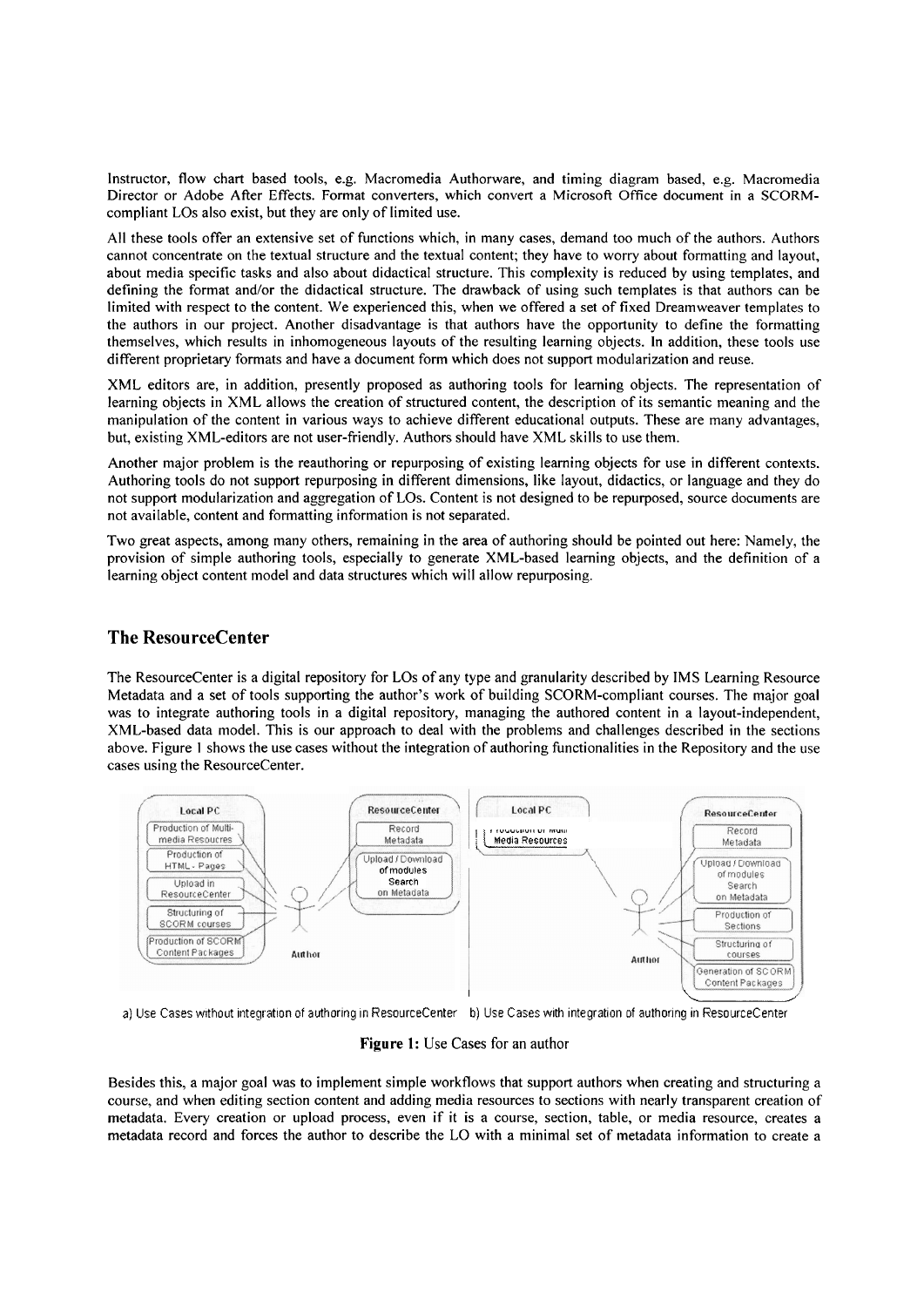Instructor, flow chart based tools, e.g. Macromedia Authorware, and timing diagram based, e.g. Macromedia Director or Adobe After Effects. Format converters, which convert a Microsoft Office document in a SCORMcompliant LOS also exist, but they are only of limited use.

All these tools offer an extensive set of functions which, in many cases, demand too much of the authors. Authors cannot concentrate on the textual structure and the textual content; they have to worry about formatting and layout, about media specific tasks and also about didactical structure. This complexity is reduced by using templates, and defining the format and/or the didactical structure. The drawback of using such templates is that authors can be limited with respect to the content. We experienced this, when we offered a Set of fixed Dreamweaver templates to the authors in our project. Another disadvantage is that authors have the opportunity to define the formatting themselves, which results in inhomogeneous layouts of the resulting learning objects. In addition, these tools use different proprietary formats and have a document form which does not support modularization and reuse.

XML editors are, in addition, presently proposed as authoring tools for learning objects. The representation of learning objects in XML allows the creation of structured content, the description of its semantic meaning and the manipulation of the content in various ways to achieve different educational outputs. These are many advantages, but, existing XML-editors are not user-friendly. Authors should have XML skills to use them.

Another major problem is the reauthoring or repurposing of existing learning objects for use in different contexts. Authoring tools do not support repurposing in different dimensions, like layout, didactics, or language and they do not support modularization and aggregation of LOS. Content is not designed to be repurposed, source documents are not available, content and formatting information is not separated.

Two great aspects, among many others, remaining in the area of authoring should be pointed out here: Namely, the provision of simple authoring tools, especially to generate XML-based learning objects, and the definition of a learning object content model and data structures which will allow repurposing.

# **The ResourceCenter**

The ResourceCenter is a digital repository for LOS of any type and granularity described by IMS Learning Resource Metadata and a set of tools supporting the author's work of building SCORM-compliant courses. The major goal was to integrate authoring tools in a digital repository, managing the authored content in a layout-independent, XML-based data model. This is our approach to deal with the problems and challenges described in the sections above. Figure 1 shows the use cases without the integration of authoring functionalities in the Repository and the use cases using the ResourceCenter.



a) Use Cases without integration of authoring in ResourceCenter b) Use Cases with integration of authoring in ResourceCenter

**Figure** 1: Use Cases for an author

Besides this, a major goal was to implement simple workflows that support authors when creating and structuring a course, and when editing section content and adding media resources to sections with nearly transparent creation of metadata. Every creation or upload process, even if it is a course, section, table, or media resource, creates a metadata record and forces the author to describe the L0 with a minimal Set of metadata information to create a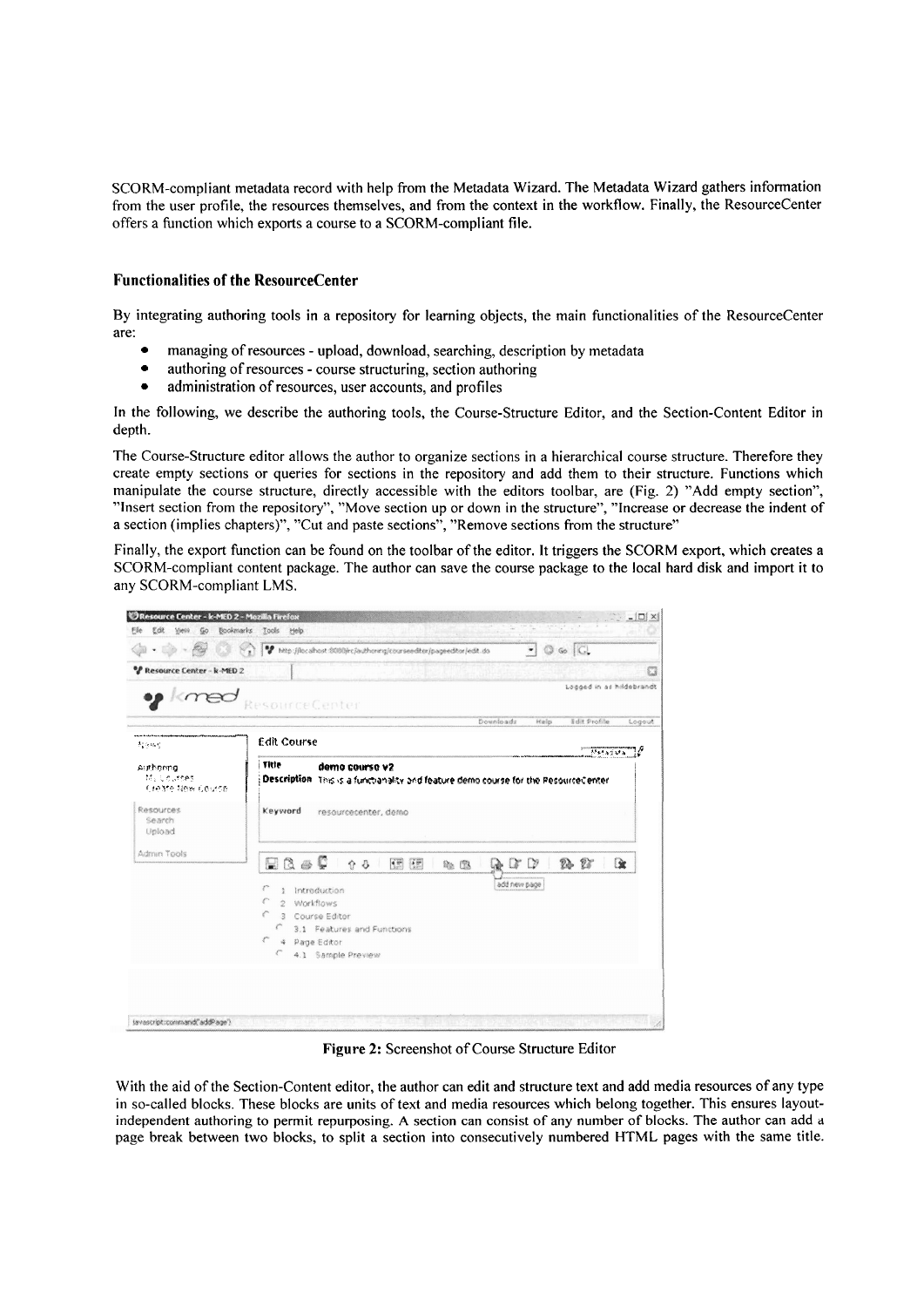SCORM-compliant metadata record with help from the Metadata Wizard. The Metadata Wizard gathers information from the user profile, the resources themselves, and from the context in the workflow. Finally, the ResourceCenter offers a function which exports a course to a SCORM-compliant file.

## **Functionalities of the ResourceCenter**

By integrating authoring tools in a repository for learning objects, the main functionalities of the ResourceCenter are:

- managing of resources upload, download, searching, description by metadata  $\bullet$
- authoring of resources course structuring, section authoring  $\bullet$
- $\bullet$ administration of resources, user accounts, and profiles

In the following, we describe the authoring tools, the Course-Structure Editor, and the Section-Content Editor in depth.

The Course-Structure editor allows the author to organize sections in a hierarchical course structure. Therefore they create empty sections or queries for sections in the repository and add them to their structure. Functions which manipulate the course structure, directly accessible with the editors toolbar, are (Fig. 2) "Add empty section", "Insert section from the repository", "Move section up or down in the structure", "Increase or decrease the indent of a section (implies chapters)", "Cut and paste sections", "Remove sections from the structure"

Finally, the export function can be found on the toolbar of the editor. It triggers the SCORM export, which creates a SCORM-compliant content package. The author can save the course package to the local hard disk and import it to any SCORM-compliant LMS.

|                            | V Http://locahost.0000/rc/authoring/courseedtor/pageeditor/edit.do<br>C Go   C.                         |                          |  |
|----------------------------|---------------------------------------------------------------------------------------------------------|--------------------------|--|
|                            |                                                                                                         |                          |  |
| PResource Center - k-MED 2 |                                                                                                         | o                        |  |
| $km$ ed                    |                                                                                                         | Logged in as hildebrandt |  |
|                            | ResourceCenter                                                                                          |                          |  |
|                            | Edit Profile<br>Dounloads<br>Help                                                                       | Logaut                   |  |
| 超细胞型                       | <b>Edit Course</b>                                                                                      |                          |  |
|                            | i Title                                                                                                 | がいきょういる                  |  |
| Aisthering<br>My Courses   | demo course v2                                                                                          |                          |  |
| Create New Course          | Description This is a functionality and feature demo course for the PesourceCenter                      |                          |  |
|                            |                                                                                                         |                          |  |
| Resources.<br>Search       | Keyword<br>resourcecenter, demo                                                                         |                          |  |
| Upload                     |                                                                                                         |                          |  |
| Admin Tools                |                                                                                                         |                          |  |
|                            | $\boxtimes$ $\circ$ $\circ$<br>2, 27<br>图图<br>↑ 3<br>$\mathbb{D}$<br><b>Re (R)</b><br>$\alpha$<br>ndir. | œ                        |  |
|                            |                                                                                                         |                          |  |
|                            |                                                                                                         |                          |  |
|                            | add new page<br>r<br>Introduction<br>$\frac{4}{3}$                                                      |                          |  |
|                            | c<br>Workflows<br>$\hat{D}$                                                                             |                          |  |
|                            | €<br>3 Course Editor                                                                                    |                          |  |
|                            | c<br>3.1 Features and Functions<br>r                                                                    |                          |  |
|                            | 4 Page Editor<br>€<br>4.1 Sample Preview                                                                |                          |  |

Figure 2: Screenshot of Course Structure Editor

With the aid of the Section-Content editor, the author can edit and structure text and add media resources of any type in so-called blocks. These blocks are units of text and media resources which belong together. This ensures layoutindependent authoring to permit repurposing. A section can consist of any number of blocks. The author can add a page break between two blocks, to split a section into consecutively numbered HTML pages with the same title.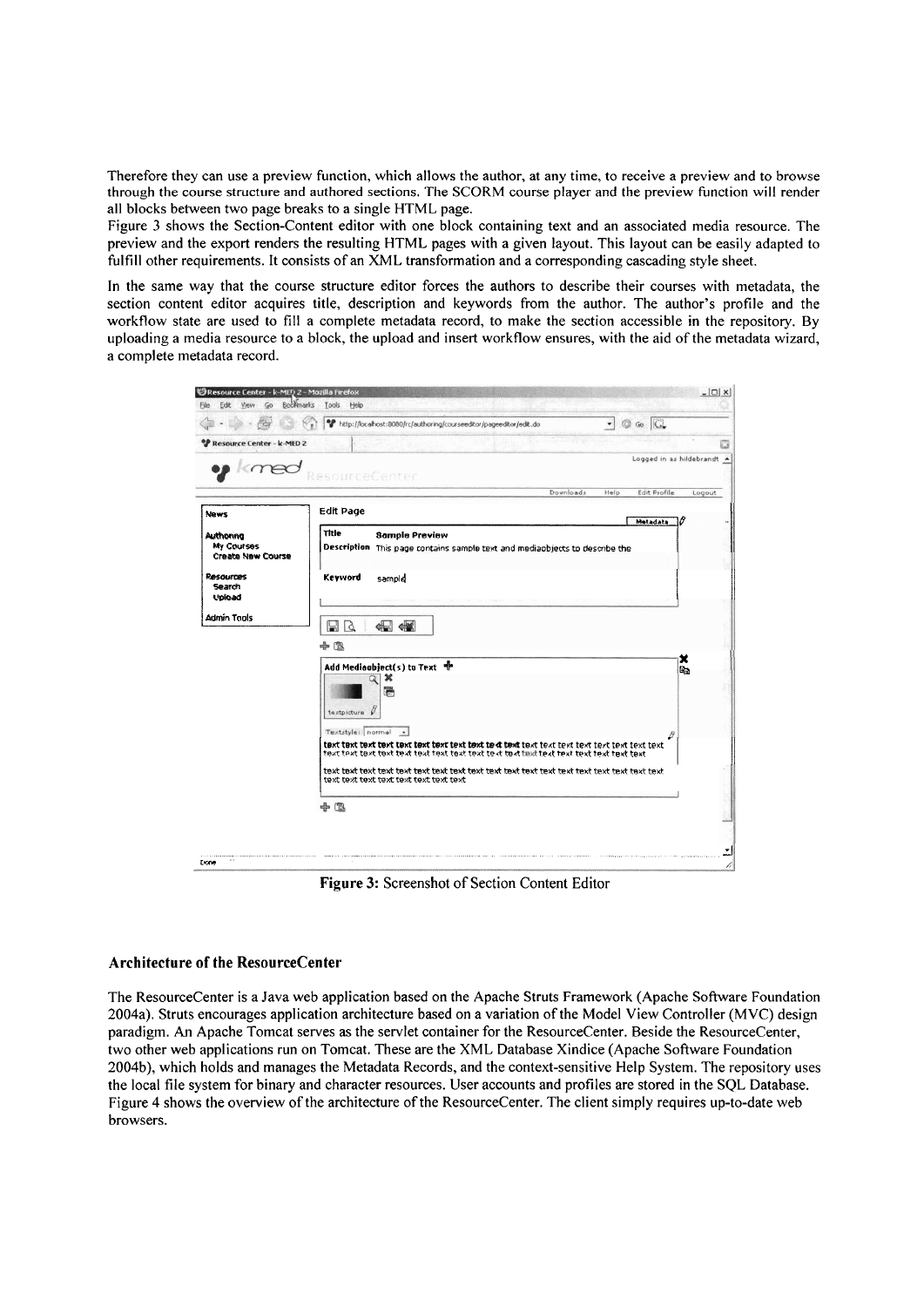Therefore they can use a preview function, which allows the author, at any time, to receive a preview and to browse through the course structure and authored sections. The SCORM course player and the preview function will render all blocks between two page breaks to a single HTML page.

Figure 3 shows the Section-Content editor with one block containing text and an associated media resource. The preview and the export renders the resulting HTML pages with a given layout. This layout can be easily adapted to fulfill other requirements. It consists of an XML transformation and a corresponding cascading style sheet.

In the same way that the course structure editor forces the authors to describe their courses with metadata, the section content editor acquires title, description and keywords from the author. The author's profile and the workflow state are used to fill a complete metadata record, to make the section accessible in the repository. By uploading a media resource to a block, the upload and insert workflow ensures, with the aid of the metadata wizard, a complete metadata record.



Figure 3: Screenshot of Section Content Editor

## Architecture of the ResourceCenter

The ResourceCenter is a Java web application based on the Apache Struts Framework (Apache Software Foundation 2004a). Struts encourages application architecture based on a variation of the Model View Controller (MVC) design paradigm. An Apache Tomcat serves as the servlet container for the ResourceCenter. Beside the ResourceCenter, two other web applications run on Tomcat. These are the XML Database Xindice (Apache Software Foundation 2004b), which holds and manages the Metadata Records, and the context-sensitive Help System. The repository uses the local file system for binary and character resources. User accounts and profiles are stored in the SOL Database. Figure 4 shows the overview of the architecture of the ResourceCenter. The client simply requires up-to-date web browsers.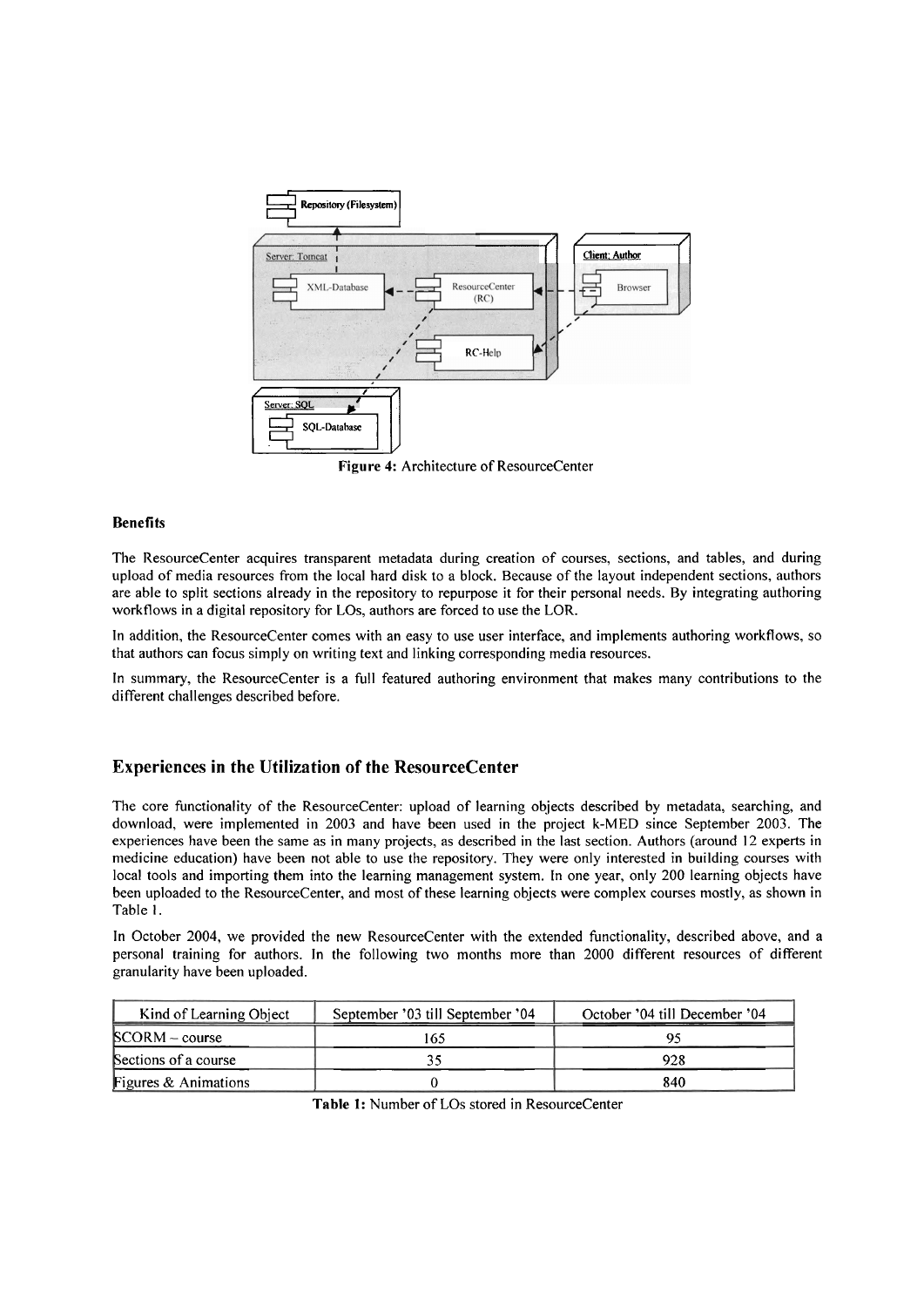

Figure 4: Architecture of ResourceCenter

#### **Benefits**

The ResourceCenter acquires transparent metadata during creation of courses, sections, and tables, and during upload of media resources from the local hard disk to a block. Because of the layout independent sections, authors are able to split sections already in the repository to repurpose it for their personal needs. By integrating authoring workflows in a digital repository for LOs, authors are forced to use the LOR.

In addition, the ResourceCenter comes with an easy to use user interface, and implements authoring workflows, so that authors can focus simply on writing text and linking corresponding media resources.

In summary, the ResourceCenter is a full featured authoring environment that makes many contributions to the different challenges described before.

### **Experiences in the Utilization of the ResourceCenter**

The core functionality of the ResourceCenter: upload of learning objects described by metadata, searching, and download, were implemented in 2003 and have been used in the project k-MED since September 2003. The experiences have been the same as in many projects, as described in the last section. Authors (around 12 experts in medicine education) have been not able to use the repository. They were only interested in building courses with local tools and importing them into the learning management system. In one year, only 200 learning objects have been uploaded to the ResourceCenter, and most of these learning objects were complex courses mostly, as shown in Table 1.

In October 2004, we provided the new ResourceCenter with the extended functionality, described above, and a personal training for authors. In the following two months more than 2000 different resources of different granularity have been uploaded.

| Kind of Learning Object | September '03 till September '04 | October '04 till December '04 |
|-------------------------|----------------------------------|-------------------------------|
| $SCORM - course$        | -65                              |                               |
| Sections of a course    |                                  | 928                           |
| Figures & Animations    |                                  | 840                           |

Table 1: Number of LOs stored in ResourceCenter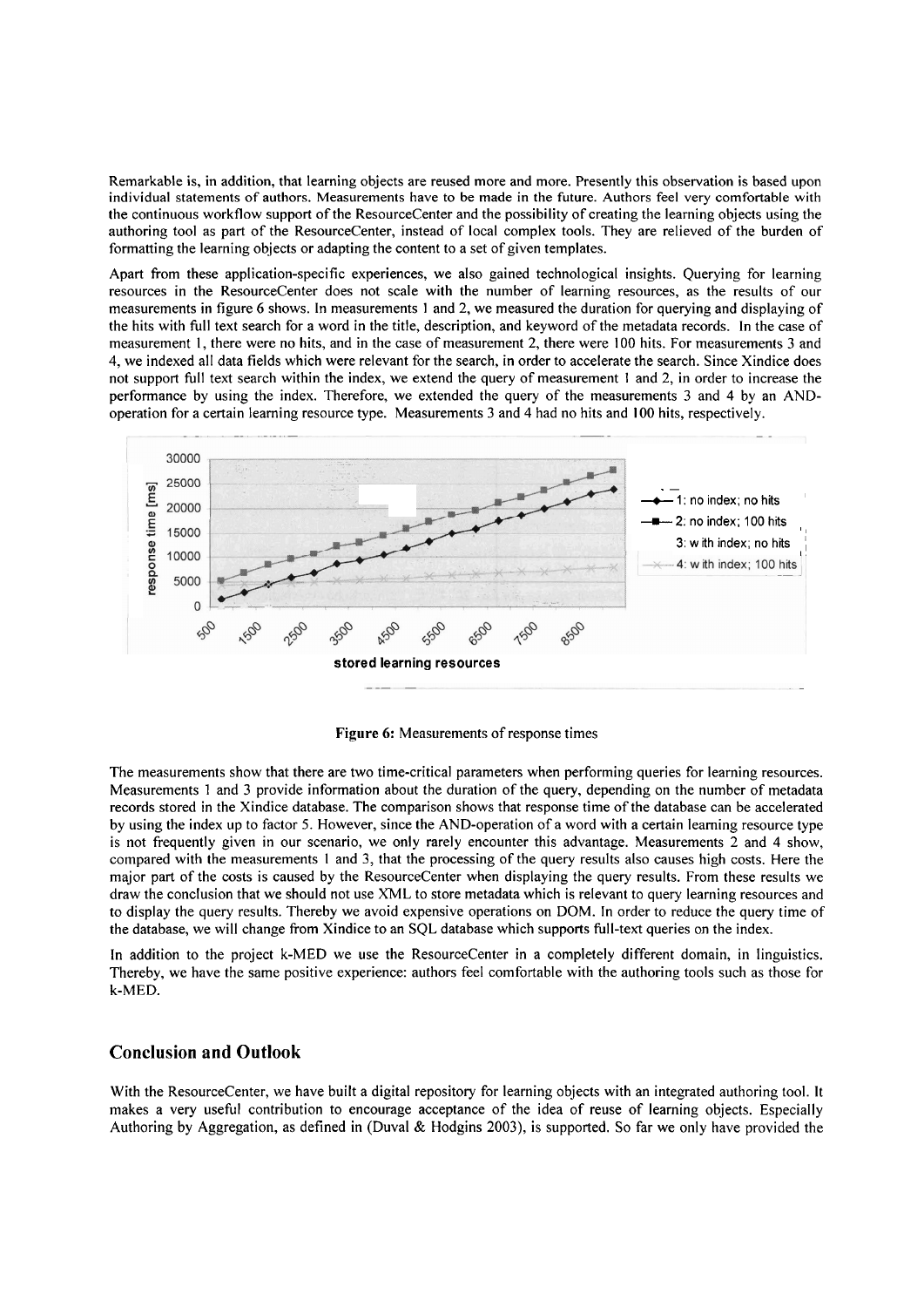Remarkable is, in addition, that learning objects are reused more and more. Presently this observation is based upon individual statements of authors. Measurements have to be made in the future. Authors feel very comfortable with the continuous workflow support of the ResourceCenter and the possibility of creating the learning objects using the authoring tool as part of the ResourceCenter, instead of local complex tools. They are relieved of the burden of formatting the learning objects or adapting the content to a Set of given templates.

Apart from these application-specific experiences, we also gained technological insights. Querying for learning resources in the ResourceCenter does not scale with the number of learning resources, as the results of our measurements in figure *6* shows. In measurements 1 and 2, we measured the duration for querying and displaying of the hits with full text search for a word in the title, description, and keyword of the metadata records. In the case of measurement 1, there were no hits, and in the case of measurement 2, there were 100 hits. For measurements 3 and 4, we indexed all data fields which were relevant for the search, in order to accelerate the search. Since Xindice does not support full text search within the index, we extend the query of measurement 1 and 2, in order to increase the performance by using the index. Therefore, we extended the query of the measurements 3 and 4 by an ANDoperation for a certain learning resource type. Measurements **3** and 4 had no hits and 100 hits, respectively.



**Figure** *6:* Measurements of response times

The measurements show that there are two time-critical parameters when performing queries for learning resources. Measurements 1 and 3 provide information about the duration of the query, depending on the number of metadata records stored in the Xindice database. The comparison shows that response time of the database can be accelerated by using the index up to factor 5. However, since the AND-operation of a word with a certain learning resource type is not frequently given in our scenario, we only rarely encounter this advantage. Measurements 2 and 4 show, compared with the measurements 1 and 3, that the processing of the query results also causes high costs. Here the major part of the costs is caused by the ResourceCenter when displaying the query results. From these results we draw the conclusion that we should not use XML to Store metadata which is relevant to query learning resources and to display the query results. Thereby we avoid expensive operations on DOM. In order to reduce the query time of the database, we will change from Xindice to an SQL database which Supports full-text queries on the index.

In addition to the project k-MED we use the ResourceCenter in a completely different domain, in linguistics. Thereby, we have the Same positive experience: authors feel comfortable with the authoring tools such as those for k-MED.

## **Conclusion and Outlook**

With the ResourceCenter, we have built a digital repository for learning objects with an integrated authoring tool. It makes a very useful contribution to encourage acceptance of the idea of reuse of learning objects. Especially Authoring by Aggregation, as defined in (Duval & Hodgins 2003), is supported. So far we only have provided the